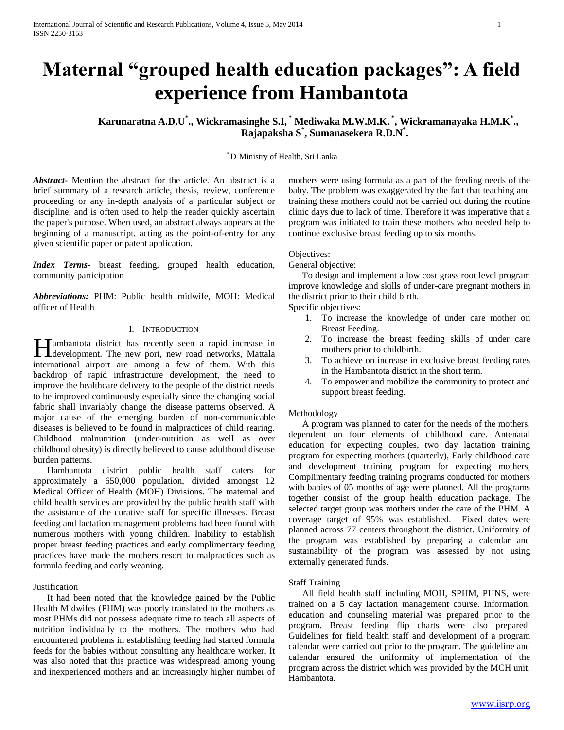# **Maternal "grouped health education packages": A field experience from Hambantota**

**Karunaratna A.D.U\* ., Wickramasinghe S.I, \* Mediwaka M.W.M.K. \* , Wickramanayaka H.M.K\* ., Rajapaksha S\* , Sumanasekera R.D.N\* .**

\* D Ministry of Health, Sri Lanka

*Abstract***-** Mention the abstract for the article. An abstract is a brief summary of a research article, thesis, review, conference proceeding or any in-depth analysis of a particular subject or discipline, and is often used to help the reader quickly ascertain the paper's purpose. When used, an abstract always appears at the beginning of a manuscript, acting as the point-of-entry for any given scientific paper or patent application.

*Index Terms*- breast feeding, grouped health education, community participation

*Abbreviations:* PHM: Public health midwife, MOH: Medical officer of Health

# I. INTRODUCTION

**Tambantota district has recently seen a rapid increase in H**ambantota district has recently seen a rapid increase in development. The new port, new road networks, Mattala international airport are among a few of them. With this backdrop of rapid infrastructure development, the need to improve the healthcare delivery to the people of the district needs to be improved continuously especially since the changing social fabric shall invariably change the disease patterns observed. A major cause of the emerging burden of non-communicable diseases is believed to be found in malpractices of child rearing. Childhood malnutrition (under-nutrition as well as over childhood obesity) is directly believed to cause adulthood disease burden patterns.

 Hambantota district public health staff caters for approximately a 650,000 population, divided amongst 12 Medical Officer of Health (MOH) Divisions. The maternal and child health services are provided by the public health staff with the assistance of the curative staff for specific illnesses. Breast feeding and lactation management problems had been found with numerous mothers with young children. Inability to establish proper breast feeding practices and early complimentary feeding practices have made the mothers resort to malpractices such as formula feeding and early weaning.

# Justification

 It had been noted that the knowledge gained by the Public Health Midwifes (PHM) was poorly translated to the mothers as most PHMs did not possess adequate time to teach all aspects of nutrition individually to the mothers. The mothers who had encountered problems in establishing feeding had started formula feeds for the babies without consulting any healthcare worker. It was also noted that this practice was widespread among young and inexperienced mothers and an increasingly higher number of mothers were using formula as a part of the feeding needs of the baby. The problem was exaggerated by the fact that teaching and training these mothers could not be carried out during the routine clinic days due to lack of time. Therefore it was imperative that a program was initiated to train these mothers who needed help to continue exclusive breast feeding up to six months.

## Objectives:

General objective:

 To design and implement a low cost grass root level program improve knowledge and skills of under-care pregnant mothers in the district prior to their child birth.

Specific objectives:

- 1. To increase the knowledge of under care mother on Breast Feeding.
- 2. To increase the breast feeding skills of under care mothers prior to childbirth.
- 3. To achieve on increase in exclusive breast feeding rates in the Hambantota district in the short term.
- 4. To empower and mobilize the community to protect and support breast feeding.

#### Methodology

 A program was planned to cater for the needs of the mothers, dependent on four elements of childhood care. Antenatal education for expecting couples, two day lactation training program for expecting mothers (quarterly), Early childhood care and development training program for expecting mothers, Complimentary feeding training programs conducted for mothers with babies of 05 months of age were planned. All the programs together consist of the group health education package. The selected target group was mothers under the care of the PHM. A coverage target of 95% was established. Fixed dates were planned across 77 centers throughout the district. Uniformity of the program was established by preparing a calendar and sustainability of the program was assessed by not using externally generated funds.

#### Staff Training

 All field health staff including MOH, SPHM, PHNS, were trained on a 5 day lactation management course. Information, education and counseling material was prepared prior to the program. Breast feeding flip charts were also prepared. Guidelines for field health staff and development of a program calendar were carried out prior to the program. The guideline and calendar ensured the uniformity of implementation of the program across the district which was provided by the MCH unit, Hambantota.